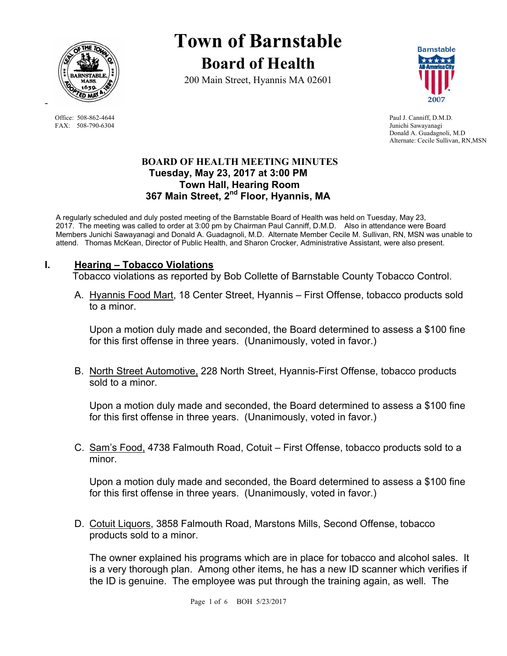

FAX: 508-790-6304 Junichi Sawayanagi

-

# **Town of Barnstable Board of Health**

200 Main Street, Hyannis MA 02601



Office: 508-862-4644 Paul J. Canniff, D.M.D. Donald A. Guadagnoli, M.D Alternate: Cecile Sullivan, RN,MSN

# **BOARD OF HEALTH MEETING MINUTES Tuesday, May 23, 2017 at 3:00 PM Town Hall, Hearing Room 367 Main Street, 2nd Floor, Hyannis, MA**

A regularly scheduled and duly posted meeting of the Barnstable Board of Health was held on Tuesday, May 23, 2017. The meeting was called to order at 3:00 pm by Chairman Paul Canniff, D.M.D. Also in attendance were Board Members Junichi Sawayanagi and Donald A. Guadagnoli, M.D. Alternate Member Cecile M. Sullivan, RN, MSN was unable to attend. Thomas McKean, Director of Public Health, and Sharon Crocker, Administrative Assistant, were also present.

# **I. Hearing – Tobacco Violations**

Tobacco violations as reported by Bob Collette of Barnstable County Tobacco Control.

A. Hyannis Food Mart, 18 Center Street, Hyannis – First Offense, tobacco products sold to a minor.

Upon a motion duly made and seconded, the Board determined to assess a \$100 fine for this first offense in three years. (Unanimously, voted in favor.)

B. North Street Automotive, 228 North Street, Hyannis-First Offense, tobacco products sold to a minor.

Upon a motion duly made and seconded, the Board determined to assess a \$100 fine for this first offense in three years. (Unanimously, voted in favor.)

C. Sam's Food, 4738 Falmouth Road, Cotuit – First Offense, tobacco products sold to a minor.

Upon a motion duly made and seconded, the Board determined to assess a \$100 fine for this first offense in three years. (Unanimously, voted in favor.)

D. Cotuit Liquors, 3858 Falmouth Road, Marstons Mills, Second Offense, tobacco products sold to a minor.

The owner explained his programs which are in place for tobacco and alcohol sales. It is a very thorough plan. Among other items, he has a new ID scanner which verifies if the ID is genuine. The employee was put through the training again, as well. The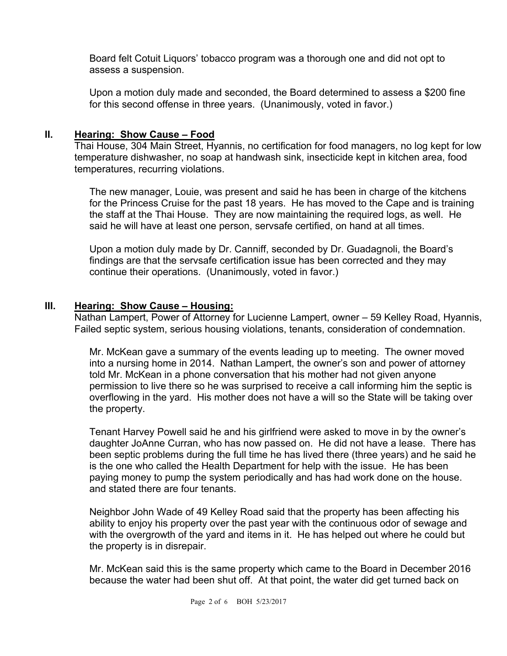Board felt Cotuit Liquors' tobacco program was a thorough one and did not opt to assess a suspension.

Upon a motion duly made and seconded, the Board determined to assess a \$200 fine for this second offense in three years. (Unanimously, voted in favor.)

# **II. Hearing: Show Cause – Food**

Thai House, 304 Main Street, Hyannis, no certification for food managers, no log kept for low temperature dishwasher, no soap at handwash sink, insecticide kept in kitchen area, food temperatures, recurring violations.

The new manager, Louie, was present and said he has been in charge of the kitchens for the Princess Cruise for the past 18 years. He has moved to the Cape and is training the staff at the Thai House. They are now maintaining the required logs, as well. He said he will have at least one person, servsafe certified, on hand at all times.

Upon a motion duly made by Dr. Canniff, seconded by Dr. Guadagnoli, the Board's findings are that the servsafe certification issue has been corrected and they may continue their operations. (Unanimously, voted in favor.)

# **III. Hearing: Show Cause – Housing:**

Nathan Lampert, Power of Attorney for Lucienne Lampert, owner – 59 Kelley Road, Hyannis, Failed septic system, serious housing violations, tenants, consideration of condemnation.

Mr. McKean gave a summary of the events leading up to meeting. The owner moved into a nursing home in 2014. Nathan Lampert, the owner's son and power of attorney told Mr. McKean in a phone conversation that his mother had not given anyone permission to live there so he was surprised to receive a call informing him the septic is overflowing in the yard. His mother does not have a will so the State will be taking over the property.

Tenant Harvey Powell said he and his girlfriend were asked to move in by the owner's daughter JoAnne Curran, who has now passed on. He did not have a lease. There has been septic problems during the full time he has lived there (three years) and he said he is the one who called the Health Department for help with the issue. He has been paying money to pump the system periodically and has had work done on the house. and stated there are four tenants.

Neighbor John Wade of 49 Kelley Road said that the property has been affecting his ability to enjoy his property over the past year with the continuous odor of sewage and with the overgrowth of the yard and items in it. He has helped out where he could but the property is in disrepair.

Mr. McKean said this is the same property which came to the Board in December 2016 because the water had been shut off. At that point, the water did get turned back on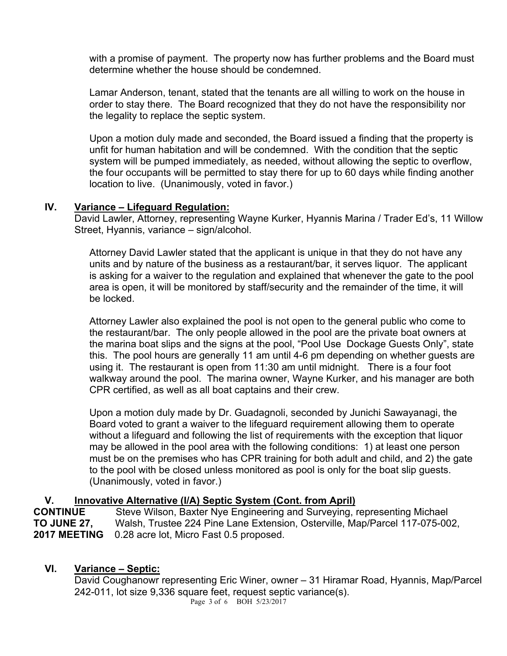with a promise of payment. The property now has further problems and the Board must determine whether the house should be condemned.

Lamar Anderson, tenant, stated that the tenants are all willing to work on the house in order to stay there. The Board recognized that they do not have the responsibility nor the legality to replace the septic system.

Upon a motion duly made and seconded, the Board issued a finding that the property is unfit for human habitation and will be condemned. With the condition that the septic system will be pumped immediately, as needed, without allowing the septic to overflow, the four occupants will be permitted to stay there for up to 60 days while finding another location to live. (Unanimously, voted in favor.)

# **IV. Variance – Lifeguard Regulation:**

David Lawler, Attorney, representing Wayne Kurker, Hyannis Marina / Trader Ed's, 11 Willow Street, Hyannis, variance – sign/alcohol.

Attorney David Lawler stated that the applicant is unique in that they do not have any units and by nature of the business as a restaurant/bar, it serves liquor. The applicant is asking for a waiver to the regulation and explained that whenever the gate to the pool area is open, it will be monitored by staff/security and the remainder of the time, it will be locked.

Attorney Lawler also explained the pool is not open to the general public who come to the restaurant/bar. The only people allowed in the pool are the private boat owners at the marina boat slips and the signs at the pool, "Pool Use Dockage Guests Only", state this. The pool hours are generally 11 am until 4-6 pm depending on whether guests are using it. The restaurant is open from 11:30 am until midnight. There is a four foot walkway around the pool. The marina owner, Wayne Kurker, and his manager are both CPR certified, as well as all boat captains and their crew.

Upon a motion duly made by Dr. Guadagnoli, seconded by Junichi Sawayanagi, the Board voted to grant a waiver to the lifeguard requirement allowing them to operate without a lifeguard and following the list of requirements with the exception that liquor may be allowed in the pool area with the following conditions: 1) at least one person must be on the premises who has CPR training for both adult and child, and 2) the gate to the pool with be closed unless monitored as pool is only for the boat slip guests. (Unanimously, voted in favor.)

# **V.** Innovative Alternative (I/A) Septic System (Cont. from April)<br> **CONTINUE** Steve Wilson Baxter Nye Engineering and Surveying in

**Steve Wilson, Baxter Nye Engineering and Surveying, representing Michael TO JUNE 27,** Walsh, Trustee 224 Pine Lane Extension, Osterville, Map/Parcel 117-075-002, **2017 MEETING** 0.28 acre lot, Micro Fast 0.5 proposed.

# **VI. Variance – Septic:**

David Coughanowr representing Eric Winer, owner – 31 Hiramar Road, Hyannis, Map/Parcel 242-011, lot size 9,336 square feet, request septic variance(s).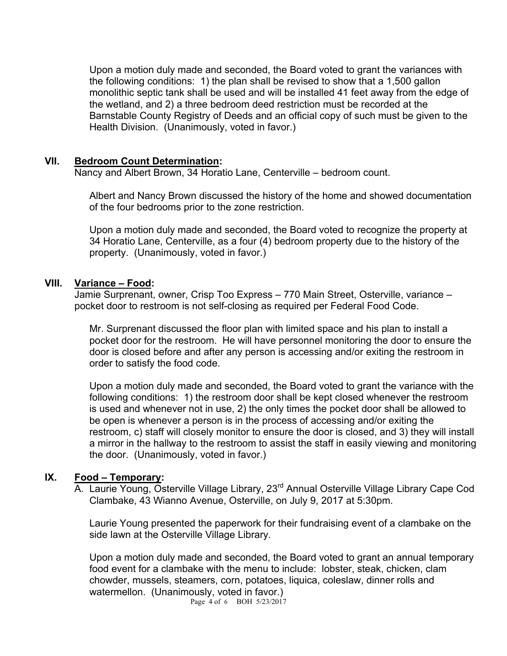Upon a motion duly made and seconded, the Board voted to grant the variances with the following conditions: 1) the plan shall be revised to show that a 1,500 gallon monolithic septic tank shall be used and will be installed 41 feet away from the edge of the wetland, and 2) a three bedroom deed restriction must be recorded at the Barnstable County Registry of Deeds and an official copy of such must be given to the Health Division. (Unanimously, voted in favor.)

#### **VII. Bedroom Count Determination:**

Nancy and Albert Brown, 34 Horatio Lane, Centerville – bedroom count.

Albert and Nancy Brown discussed the history of the home and showed documentation of the four bedrooms prior to the zone restriction.

Upon a motion duly made and seconded, the Board voted to recognize the property at 34 Horatio Lane, Centerville, as a four (4) bedroom property due to the history of the property. (Unanimously, voted in favor.)

#### **VIII. Variance – Food:**

Jamie Surprenant, owner, Crisp Too Express – 770 Main Street, Osterville, variance – pocket door to restroom is not self-closing as required per Federal Food Code.

Mr. Surprenant discussed the floor plan with limited space and his plan to install a pocket door for the restroom. He will have personnel monitoring the door to ensure the door is closed before and after any person is accessing and/or exiting the restroom in order to satisfy the food code.

Upon a motion duly made and seconded, the Board voted to grant the variance with the following conditions: 1) the restroom door shall be kept closed whenever the restroom is used and whenever not in use, 2) the only times the pocket door shall be allowed to be open is whenever a person is in the process of accessing and/or exiting the restroom, c) staff will closely monitor to ensure the door is closed, and 3) they will install a mirror in the hallway to the restroom to assist the staff in easily viewing and monitoring the door. (Unanimously, voted in favor.)

# **IX. Food – Temporary:**

A. Laurie Young, Osterville Village Library, 23<sup>rd</sup> Annual Osterville Village Library Cape Cod Clambake, 43 Wianno Avenue, Osterville, on July 9, 2017 at 5:30pm.

Laurie Young presented the paperwork for their fundraising event of a clambake on the side lawn at the Osterville Village Library.

Upon a motion duly made and seconded, the Board voted to grant an annual temporary food event for a clambake with the menu to include: lobster, steak, chicken, clam chowder, mussels, steamers, corn, potatoes, liquica, coleslaw, dinner rolls and watermellon. (Unanimously, voted in favor.)

Page 4 of 6 BOH 5/23/2017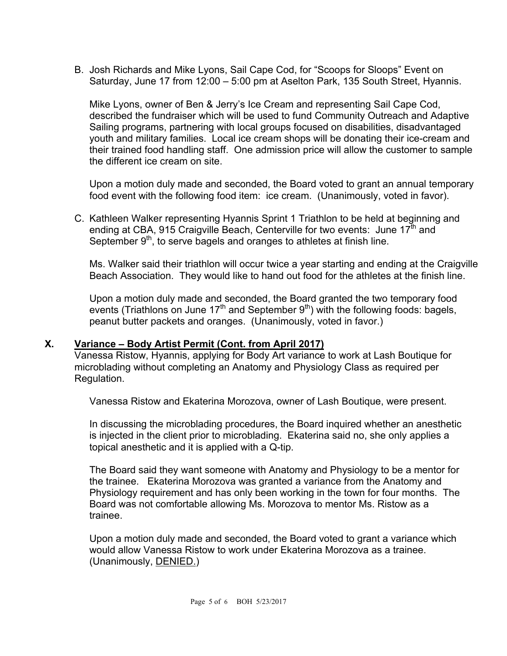B. Josh Richards and Mike Lyons, Sail Cape Cod, for "Scoops for Sloops" Event on Saturday, June 17 from 12:00 – 5:00 pm at Aselton Park, 135 South Street, Hyannis.

Mike Lyons, owner of Ben & Jerry's Ice Cream and representing Sail Cape Cod, described the fundraiser which will be used to fund Community Outreach and Adaptive Sailing programs, partnering with local groups focused on disabilities, disadvantaged youth and military families. Local ice cream shops will be donating their ice-cream and their trained food handling staff. One admission price will allow the customer to sample the different ice cream on site.

Upon a motion duly made and seconded, the Board voted to grant an annual temporary food event with the following food item: ice cream. (Unanimously, voted in favor).

C. Kathleen Walker representing Hyannis Sprint 1 Triathlon to be held at beginning and ending at CBA, 915 Craigville Beach, Centerville for two events: June 17<sup>th</sup> and September  $9<sup>th</sup>$ , to serve bagels and oranges to athletes at finish line.

Ms. Walker said their triathlon will occur twice a year starting and ending at the Craigville Beach Association. They would like to hand out food for the athletes at the finish line.

Upon a motion duly made and seconded, the Board granted the two temporary food events (Triathlons on June  $17<sup>th</sup>$  and September  $9<sup>th</sup>$ ) with the following foods: bagels, peanut butter packets and oranges. (Unanimously, voted in favor.)

# **X. Variance – Body Artist Permit (Cont. from April 2017)**

Vanessa Ristow, Hyannis, applying for Body Art variance to work at Lash Boutique for microblading without completing an Anatomy and Physiology Class as required per Regulation.

Vanessa Ristow and Ekaterina Morozova, owner of Lash Boutique, were present.

In discussing the microblading procedures, the Board inquired whether an anesthetic is injected in the client prior to microblading. Ekaterina said no, she only applies a topical anesthetic and it is applied with a Q-tip.

The Board said they want someone with Anatomy and Physiology to be a mentor for the trainee. Ekaterina Morozova was granted a variance from the Anatomy and Physiology requirement and has only been working in the town for four months. The Board was not comfortable allowing Ms. Morozova to mentor Ms. Ristow as a trainee.

Upon a motion duly made and seconded, the Board voted to grant a variance which would allow Vanessa Ristow to work under Ekaterina Morozova as a trainee. (Unanimously, DENIED.)